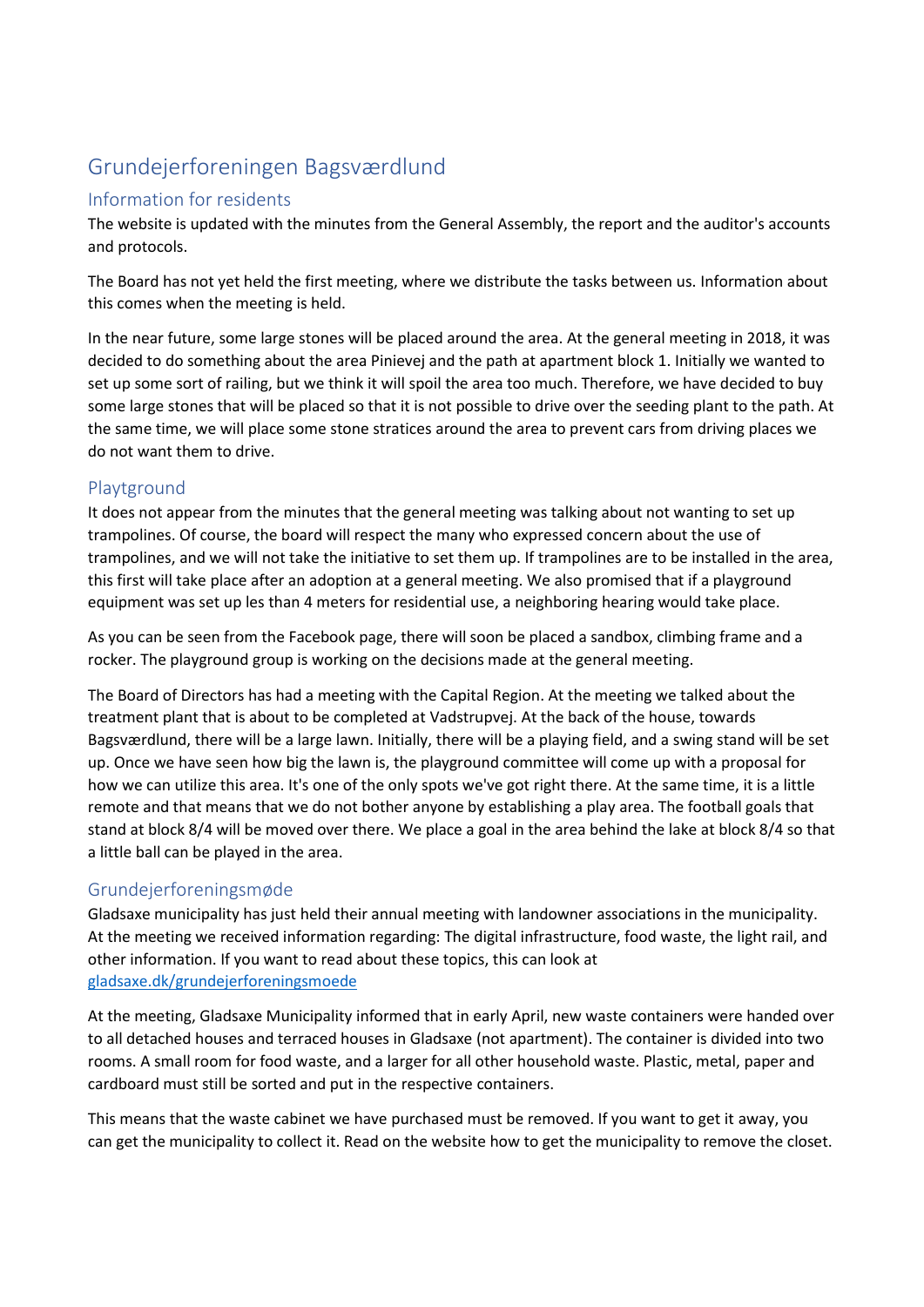# Grundejerforeningen Bagsværdlund

## Information for residents

The website is updated with the minutes from the General Assembly, the report and the auditor's accounts and protocols.

The Board has not yet held the first meeting, where we distribute the tasks between us. Information about this comes when the meeting is held.

In the near future, some large stones will be placed around the area. At the general meeting in 2018, it was decided to do something about the area Pinievej and the path at apartment block 1. Initially we wanted to set up some sort of railing, but we think it will spoil the area too much. Therefore, we have decided to buy some large stones that will be placed so that it is not possible to drive over the seeding plant to the path. At the same time, we will place some stone stratices around the area to prevent cars from driving places we do not want them to drive.

# Playtground

It does not appear from the minutes that the general meeting was talking about not wanting to set up trampolines. Of course, the board will respect the many who expressed concern about the use of trampolines, and we will not take the initiative to set them up. If trampolines are to be installed in the area, this first will take place after an adoption at a general meeting. We also promised that if a playground equipment was set up les than 4 meters for residential use, a neighboring hearing would take place.

As you can be seen from the Facebook page, there will soon be placed a sandbox, climbing frame and a rocker. The playground group is working on the decisions made at the general meeting.

The Board of Directors has had a meeting with the Capital Region. At the meeting we talked about the treatment plant that is about to be completed at Vadstrupvej. At the back of the house, towards Bagsværdlund, there will be a large lawn. Initially, there will be a playing field, and a swing stand will be set up. Once we have seen how big the lawn is, the playground committee will come up with a proposal for how we can utilize this area. It's one of the only spots we've got right there. At the same time, it is a little remote and that means that we do not bother anyone by establishing a play area. The football goals that stand at block 8/4 will be moved over there. We place a goal in the area behind the lake at block 8/4 so that a little ball can be played in the area.

#### Grundejerforeningsmøde

Gladsaxe municipality has just held their annual meeting with landowner associations in the municipality. At the meeting we received information regarding: The digital infrastructure, food waste, the light rail, and other information. If you want to read about these topics, this can look at [gladsaxe.dk/grundejerforeningsmoede](https://www.gladsaxe.dk/Default.aspx?ID=83631)

At the meeting, Gladsaxe Municipality informed that in early April, new waste containers were handed over to all detached houses and terraced houses in Gladsaxe (not apartment). The container is divided into two rooms. A small room for food waste, and a larger for all other household waste. Plastic, metal, paper and cardboard must still be sorted and put in the respective containers.

This means that the waste cabinet we have purchased must be removed. If you want to get it away, you can get the municipality to collect it. Read on the website how to get the municipality to remove the closet.